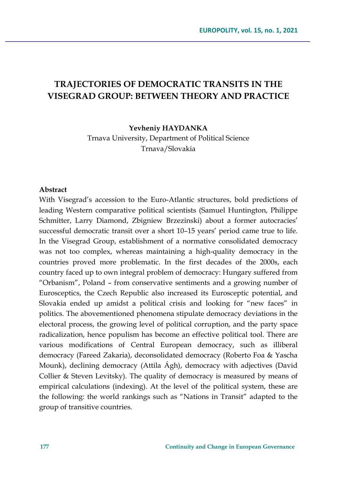# **TRAJECTORIES OF DEMOCRATIC TRANSITS IN THE VISEGRAD GROUP: BETWEEN THEORY AND PRACTICE**

**Yevheniy HAYDANKA**

Trnava University, Department of Political Science Trnava/Slovakia

#### **Abstract**

With Visegrad's accession to the Euro-Atlantic structures, bold predictions of leading Western comparative political scientists (Samuel Huntington, Philippe Schmitter, Larry Diamond, Zbigniew Brzezinski) about a former autocracies' successful democratic transit over a short 10–15 years' period came true to life. In the Visegrad Group, establishment of a normative consolidated democracy was not too complex, whereas maintaining a high-quality democracy in the countries proved more problematic. In the first decades of the 2000s, each country faced up to own integral problem of democracy: Hungary suffered from "Orbanism", Poland – from conservative sentiments and a growing number of Eurosceptics, the Czech Republic also increased its Eurosceptic potential, and Slovakia ended up amidst a political crisis and looking for "new faces" in politics. The abovementioned phenomena stipulate democracy deviations in the electoral process, the growing level of political corruption, and the party space radicalization, hence populism has become an effective political tool. There are various modifications of Central European democracy, such as illiberal democracy (Fareed Zakaria), deconsolidated democracy (Roberto Foa & Yascha Mounk), declining democracy (Attila Ágh), democracy with adjectives (David Collier & Steven Levitsky). The quality of democracy is measured by means of empirical calculations (indexing). At the level of the political system, these are the following: the world rankings such as "Nations in Transit" adapted to the group of transitive countries.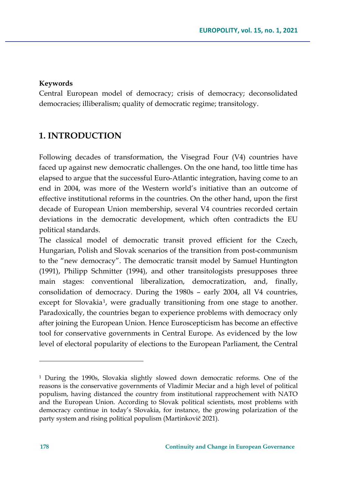#### **Keywords**

Central European model of democracy; crisis of democracy; deconsolidated democracies; illiberalism; quality of democratic regime; transitology.

## **1. INTRODUCTION**

Following decades of transformation, the Visegrad Four (V4) countries have faced up against new democratic challenges. On the one hand, too little time has elapsed to argue that the successful Euro-Atlantic integration, having come to an end in 2004, was more of the Western world's initiative than an outcome of effective institutional reforms in the countries. On the other hand, upon the first decade of European Union membership, several V4 countries recorded certain deviations in the democratic development, which often contradicts the EU political standards.

The classical model of democratic transit proved efficient for the Czech, Hungarian, Polish and Slovak scenarios of the transition from post-communism to the "new democracy". The democratic transit model by Samuel Huntington (1991), Philipp Schmitter (1994), and other transitologists presupposes three main stages: conventional liberalization, democratization, and, finally, consolidation of democracy. During the 1980s – early 2004, all V4 countries, except for Slovakia<sup>[1](#page-1-0)</sup>, were gradually transitioning from one stage to another. Paradoxically, the countries began to experience problems with democracy only after joining the European Union. Hence Euroscepticism has become an effective tool for conservative governments in Central Europe. As evidenced by the low level of electoral popularity of elections to the European Parliament, the Central

<span id="page-1-0"></span><sup>1</sup> During the 1990s, Slovakia slightly slowed down democratic reforms. One of the reasons is the conservative governments of Vladimir Meciar and a high level of political populism, having distanced the country from institutional rapprochement with NATO and the European Union. According to Slovak political scientists, most problems with democracy continue in today's Slovakia, for instance, the growing polarization of the party system and rising political populism (Martinkovič 2021).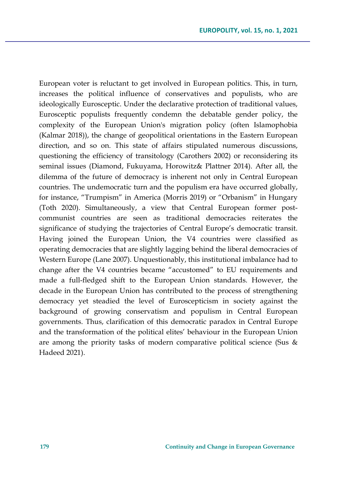European voter is reluctant to get involved in European politics. This, in turn, increases the political influence of conservatives and populists, who are ideologically Eurosceptic. Under the declarative protection of traditional values, Eurosceptic populists frequently condemn the debatable gender policy, the complexity of the European Union's migration policy (often Islamophobia (Kalmar 2018)), the change of geopolitical orientations in the Eastern European direction, and so on. This state of affairs stipulated numerous discussions, questioning the efficiency of transitology (Carothers 2002) or reconsidering its seminal issues (Diamond, Fukuyama, Horowitz& Plattner 2014). After all, the dilemma of the future of democracy is inherent not only in Central European countries. The undemocratic turn and the populism era have occurred globally, for instance, "Trumpism" in America (Morris 2019) or "Orbanism" in Hungary (Toth 2020). Simultaneously, a view that Central European former postcommunist countries are seen as traditional democracies reiterates the significance of studying the trajectories of Central Europe's democratic transit. Having joined the European Union, the V4 countries were classified as operating democracies that are slightly lagging behind the liberal democracies of Western Europe (Lane 2007). Unquestionably, this institutional imbalance had to change after the V4 countries became "accustomed" to EU requirements and made a full-fledged shift to the European Union standards. However, the decade in the European Union has contributed to the process of strengthening democracy yet steadied the level of Euroscepticism in society against the background of growing conservatism and populism in Central European governments. Thus, clarification of this democratic paradox in Central Europe and the transformation of the political elites' behaviour in the European Union are among the priority tasks of modern comparative political science (Sus & Hadeed 2021).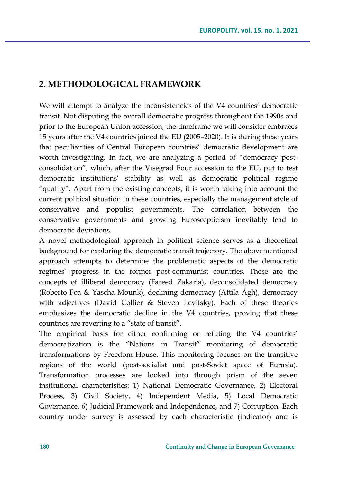## **2. METHODOLOGICAL FRAMEWORK**

We will attempt to analyze the inconsistencies of the V4 countries' democratic transit. Not disputing the overall democratic progress throughout the 1990s and prior to the European Union accession, the timeframe we will consider embraces 15 years after the V4 countries joined the EU (2005–2020). It is during these years that peculiarities of Central European countries' democratic development are worth investigating. In fact, we are analyzing a period of "democracy postconsolidation", which, after the Visegrad Four accession to the EU, put to test democratic institutions' stability as well as democratic political regime "quality". Apart from the existing concepts, it is worth taking into account the current political situation in these countries, especially the management style of conservative and populist governments. The correlation between the conservative governments and growing Euroscepticism inevitably lead to democratic deviations.

A novel methodological approach in political science serves as a theoretical background for exploring the democratic transit trajectory. The abovementioned approach attempts to determine the problematic aspects of the democratic regimes' progress in the former post-communist countries. These are the concepts of illiberal democracy (Fareed Zakaria), deconsolidated democracy (Roberto Foa & Yascha Mounk), declining democracy (Attila Ágh), democracy with adjectives (David Collier & Steven Levitsky). Each of these theories emphasizes the democratic decline in the V4 countries, proving that these countries are reverting to a "state of transit".

The empirical basis for either confirming or refuting the V4 countries' democratization is the "Nations in Transit" monitoring of democratic transformations by Freedom House. This monitoring focuses on the transitive regions of the world (post-socialist and post-Soviet space of Eurasia). Transformation processes are looked into through prism of the seven institutional characteristics: 1) National Democratic Governance, 2) Electoral Process, 3) Civil Society, 4) Independent Media, 5) Local Democratic Governance, 6) Judicial Framework and Independence, and 7) Corruption. Each country under survey is assessed by each characteristic (indicator) and is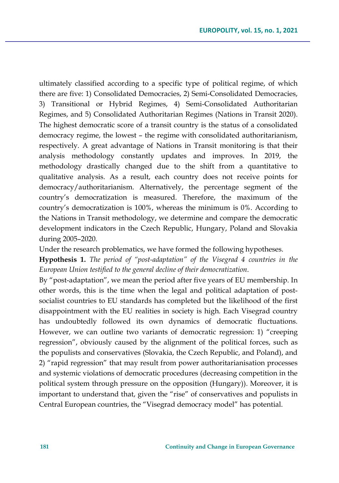ultimately classified according to a specific type of political regime, of which there are five: 1) Consolidated Democracies, 2) Semi-Consolidated Democracies, 3) Transitional or Hybrid Regimes, 4) Semi-Consolidated Authoritarian Regimes, and 5) Consolidated Authoritarian Regimes (Nations in Transit 2020). The highest democratic score of a transit country is the status of a consolidated democracy regime, the lowest – the regime with consolidated authoritarianism, respectively. A great advantage of Nations in Transit monitoring is that their analysis methodology constantly updates and improves. In 2019, the methodology drastically changed due to the shift from a quantitative to qualitative analysis. As a result, each country does not receive points for democracy/authoritarianism. Alternatively, the percentage segment of the country's democratization is measured. Therefore, the maximum of the country's democratization is 100%, whereas the minimum is 0%. According to the Nations in Transit methodology, we determine and compare the democratic development indicators in the Czech Republic, Hungary, Poland and Slovakia during 2005–2020.

Under the research problematics, we have formed the following hypotheses.

**Hypothesis 1.** *The period of "post-adaptation" of the Visegrad 4 countries in the European Union testified to the general decline of their democratization*.

By "post-adaptation", we mean the period after five years of EU membership. In other words, this is the time when the legal and political adaptation of postsocialist countries to EU standards has completed but the likelihood of the first disappointment with the EU realities in society is high. Each Visegrad country has undoubtedly followed its own dynamics of democratic fluctuations. However, we can outline two variants of democratic regression: 1) "creeping regression", obviously caused by the alignment of the political forces, such as the populists and conservatives (Slovakia, the Czech Republic, and Poland), and 2) "rapid regression" that may result from power authoritarianisation processes and systemic violations of democratic procedures (decreasing competition in the political system through pressure on the opposition (Hungary)). Moreover, it is important to understand that, given the "rise" of conservatives and populists in Central European countries, the "Visegrad democracy model" has potential.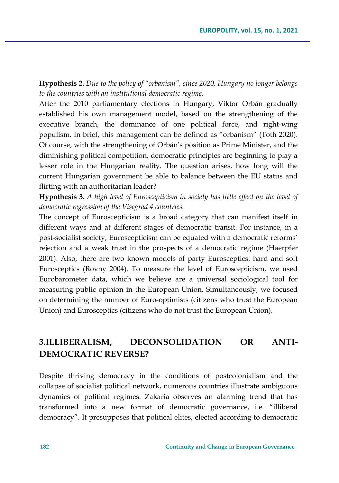**Hypothesis 2.** *Due to the policy of "orbanism", since 2020, Hungary no longer belongs to the countries with an institutional democratic regime.*

After the 2010 parliamentary elections in Hungary, Viktor Orbán gradually established his own management model, based on the strengthening of the executive branch, the dominance of one political force, and right-wing populism. In brief, this management can be defined as "orbanism" (Toth 2020). Of course, with the strengthening of Orbán's position as Prime Minister, and the diminishing political competition, democratic principles are beginning to play a lesser role in the Hungarian reality. The question arises, how long will the current Hungarian government be able to balance between the EU status and flirting with an authoritarian leader?

**Hypothesis 3.** *A high level of Euroscepticism in society has little effect on the level of democratic regression of the Visegrad 4 countries.*

The concept of Euroscepticism is a broad category that can manifest itself in different ways and at different stages of democratic transit. For instance, in a post-socialist society, Euroscepticism can be equated with a democratic reforms' rejection and a weak trust in the prospects of a democratic regime (Haerpfer 2001). Also, there are two known models of party Eurosceptics: hard and soft Eurosceptics (Rovny 2004). To measure the level of Euroscepticism, we used Eurobarometer data, which we believe are a universal sociological tool for measuring public opinion in the European Union. Simultaneously, we focused on determining the number of Euro-optimists (citizens who trust the European Union) and Eurosceptics (citizens who do not trust the European Union).

# **3.ILLIBERALISM, DECONSOLIDATION OR ANTI-DEMOCRATIC REVERSE?**

Despite thriving democracy in the conditions of postcolonialism and the collapse of socialist political network, numerous countries illustrate ambiguous dynamics of political regimes. Zakaria observes an alarming trend that has transformed into a new format of democratic governance, i.e. "illiberal democracy". It presupposes that political elites, elected according to democratic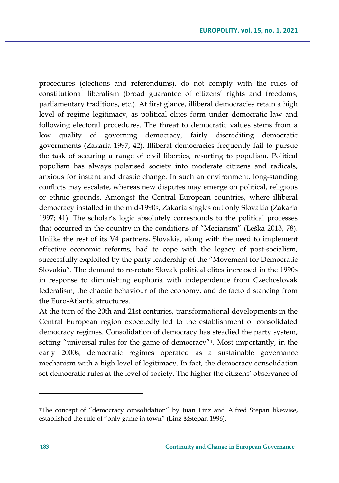procedures (elections and referendums), do not comply with the rules of constitutional liberalism (broad guarantee of citizens' rights and freedoms, parliamentary traditions, etc.). At first glance, illiberal democracies retain a high level of regime legitimacy, as political elites form under democratic law and following electoral procedures. The threat to democratic values stems from a low quality of governing democracy, fairly discrediting democratic governments (Zakaria 1997, 42). Illiberal democracies frequently fail to pursue the task of securing a range of civil liberties, resorting to populism. Political populism has always polarised society into moderate citizens and radicals, anxious for instant and drastic change. In such an environment, long-standing conflicts may escalate, whereas new disputes may emerge on political, religious or ethnic grounds. Amongst the Central European countries, where illiberal democracy installed in the mid-1990s, Zakaria singles out only Slovakia (Zakaria 1997; 41). The scholar's logic absolutely corresponds to the political processes that occurred in the country in the conditions of "Meciarism" (Leška 2013, 78). Unlike the rest of its V4 partners, Slovakia, along with the need to implement effective economic reforms, had to cope with the legacy of post-socialism, successfully exploited by the party leadership of the "Movement for Democratic Slovakia". The demand to re-rotate Slovak political elites increased in the 1990s in response to diminishing euphoria with independence from Czechoslovak federalism, the chaotic behaviour of the economy, and de facto distancing from the Euro-Atlantic structures.

At the turn of the 20th and 21st centuries, transformational developments in the Central European region expectedly led to the establishment of consolidated democracy regimes. Consolidation of democracy has steadied the party system, setting "universal rules for the game of democracy"[1](#page-6-0). Most importantly, in the early 2000s, democratic regimes operated as a sustainable governance mechanism with a high level of legitimacy. In fact, the democracy consolidation set democratic rules at the level of society. The higher the citizens' observance of

<span id="page-6-0"></span><sup>1</sup>The concept of "democracy consolidation" by Juan Linz and Alfred Stepan likewise, established the rule of "only game in town" (Linz &Stepan 1996).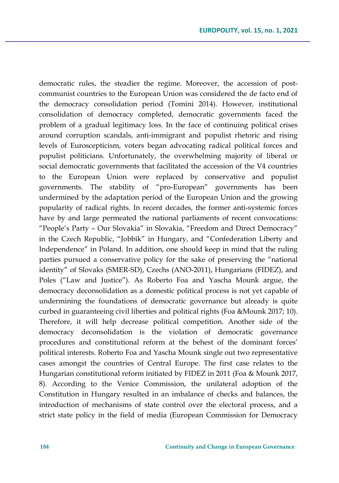democratic rules, the steadier the regime. Moreover, the accession of postcommunist countries to the European Union was considered the de facto end of the democracy consolidation period (Tomini 2014). However, institutional consolidation of democracy completed, democratic governments faced the problem of a gradual legitimacy loss. In the face of continuing political crises around corruption scandals, anti-immigrant and populist rhetoric and rising levels of Euroscepticism, voters began advocating radical political forces and populist politicians. Unfortunately, the overwhelming majority of liberal or social democratic governments that facilitated the accession of the V4 countries to the European Union were replaced by conservative and populist governments. The stability of "pro-European" governments has been undermined by the adaptation period of the European Union and the growing popularity of radical rights. In recent decades, the former anti-systemic forces have by and large permeated the national parliaments of recent convocations: "People's Party – Our Slovakia" in Slovakia, "Freedom and Direct Democracy" in the Czech Republic, "Jobbik" in Hungary, and "Confederation Liberty and Independence" in Poland. In addition, one should keep in mind that the ruling parties pursued a conservative policy for the sake of preserving the "national identity" of Slovaks (SMER-SD), Czechs (ANO-2011), Hungarians (FIDEZ), and Poles ("Law and Justice"). As Roberto Foa and Yascha Mounk argue, the democracy deconsolidation as a domestic political process is not yet capable of undermining the foundations of democratic governance but already is quite curbed in guaranteeing civil liberties and political rights (Foa &Mounk 2017; 10). Therefore, it will help decrease political competition. Another side of the democracy deconsolidation is the violation of democratic governance procedures and constitutional reform at the behest of the dominant forces' political interests. Roberto Foa and Yascha Mounk single out two representative cases amongst the countries of Central Europe. The first case relates to the Hungarian constitutional reform initiated by FIDEZ in 2011 (Foa & Mounk 2017, 8). According to the Venice Commission, the unilateral adoption of the Constitution in Hungary resulted in an imbalance of checks and balances, the introduction of mechanisms of state control over the electoral process, and a strict state policy in the field of media (European Commission for Democracy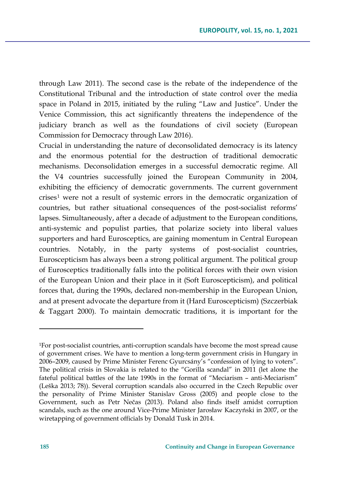through Law 2011). The second case is the rebate of the independence of the Constitutional Tribunal and the introduction of state control over the media space in Poland in 2015, initiated by the ruling "Law and Justice". Under the Venice Commission, this act significantly threatens the independence of the judiciary branch as well as the foundations of civil society (European Commission for Democracy through Law 2016).

Crucial in understanding the nature of deconsolidated democracy is its latency and the enormous potential for the destruction of traditional democratic mechanisms. Deconsolidation emerges in a successful democratic regime. All the V4 countries successfully joined the European Community in 2004, exhibiting the efficiency of democratic governments. The current government crises<sup>[1](#page-8-0)</sup> were not a result of systemic errors in the democratic organization of countries, but rather situational consequences of the post-socialist reforms' lapses. Simultaneously, after a decade of adjustment to the European conditions, anti-systemic and populist parties, that polarize society into liberal values supporters and hard Eurosceptics, are gaining momentum in Central European countries. Notably, in the party systems of post-socialist countries, Euroscepticism has always been a strong political argument. The political group of Eurosceptics traditionally falls into the political forces with their own vision of the European Union and their place in it (Soft Euroscepticism), and political forces that, during the 1990s, declared non-membership in the European Union, and at present advocate the departure from it (Hard Euroscepticism) (Szczerbiak & Taggart 2000). To maintain democratic traditions, it is important for the

<span id="page-8-0"></span><sup>1</sup>For post-socialist countries, anti-corruption scandals have become the most spread cause of government crises. We have to mention a long-term government crisis in Hungary in 2006–2009, caused by Prime Minister Ferenc Gyurcsány's "confession of lying to voters". The political crisis in Slovakia is related to the "Gorilla scandal" in 2011 (let alone the fateful political battles of the late 1990s in the format of "Meciarism – anti-Meciarism" (Leška 2013; 78)). Several corruption scandals also occurred in the Czech Republic over the personality of Prime Minister Stanislav Gross (2005) and people close to the Government, such as Petr Nečas (2013). Poland also finds itself amidst corruption scandals, such as the one around Vice-Prime Minister Jarosław Kaczyński in 2007, or the wiretapping of government officials by Donald Tusk in 2014.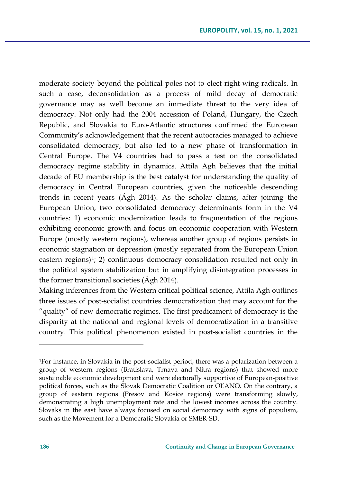moderate society beyond the political poles not to elect right-wing radicals. In such a case, deconsolidation as a process of mild decay of democratic governance may as well become an immediate threat to the very idea of democracy. Not only had the 2004 accession of Poland, Hungary, the Czech Republic, and Slovakia to Euro-Atlantic structures confirmed the European Community's acknowledgement that the recent autocracies managed to achieve consolidated democracy, but also led to a new phase of transformation in Central Europe. The V4 countries had to pass a test on the consolidated democracy regime stability in dynamics. Attila Agh believes that the initial decade of EU membership is the best catalyst for understanding the quality of democracy in Central European countries, given the noticeable descending trends in recent years (Ágh 2014). As the scholar claims, after joining the European Union, two consolidated democracy determinants form in the V4 countries: 1) economic modernization leads to fragmentation of the regions exhibiting economic growth and focus on economic cooperation with Western Europe (mostly western regions), whereas another group of regions persists in economic stagnation or depression (mostly separated from the European Union eastern regions $]1$  $]1$ ; 2) continuous democracy consolidation resulted not only in the political system stabilization but in amplifying disintegration processes in the former transitional societies (Ágh 2014).

Making inferences from the Western critical political science, Attila Agh outlines three issues of post-socialist countries democratization that may account for the "quality" of new democratic regimes. The first predicament of democracy is the disparity at the national and regional levels of democratization in a transitive country. This political phenomenon existed in post-socialist countries in the

<span id="page-9-0"></span><sup>1</sup>For instance, in Slovakia in the post-socialist period, there was a polarization between a group of western regions (Bratislava, Trnava and Nitra regions) that showed more sustainable economic development and were electorally supportive of European-positive political forces, such as the Slovak Democratic Coalition or OĽANO. On the contrary, a group of eastern regions (Presov and Kosice regions) were transforming slowly, demonstrating a high unemployment rate and the lowest incomes across the country. Slovaks in the east have always focused on social democracy with signs of populism, such as the Movement for a Democratic Slovakia or SMER-SD.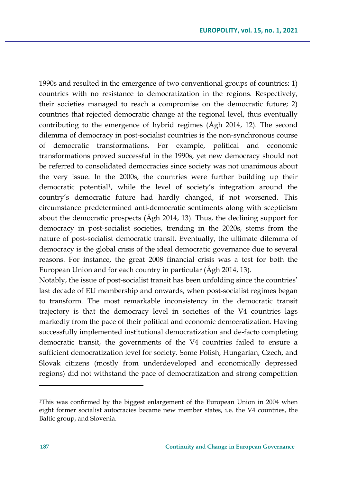1990s and resulted in the emergence of two conventional groups of countries: 1) countries with no resistance to democratization in the regions. Respectively, their societies managed to reach a compromise on the democratic future; 2) countries that rejected democratic change at the regional level, thus eventually contributing to the emergence of hybrid regimes (Ágh 2014, 12). The second dilemma of democracy in post-socialist countries is the non-synchronous course of democratic transformations. For example, political and economic transformations proved successful in the 1990s, yet new democracy should not be referred to consolidated democracies since society was not unanimous about the very issue. In the 2000s, the countries were further building up their democratic potential[1](#page-10-0), while the level of society's integration around the country's democratic future had hardly changed, if not worsened. This circumstance predetermined anti-democratic sentiments along with scepticism about the democratic prospects (Ágh 2014, 13). Thus, the declining support for democracy in post-socialist societies, trending in the 2020s, stems from the nature of post-socialist democratic transit. Eventually, the ultimate dilemma of democracy is the global crisis of the ideal democratic governance due to several reasons. For instance, the great 2008 financial crisis was a test for both the European Union and for each country in particular (Ágh 2014, 13).

Notably, the issue of post-socialist transit has been unfolding since the countries' last decade of EU membership and onwards, when post-socialist regimes began to transform. The most remarkable inconsistency in the democratic transit trajectory is that the democracy level in societies of the V4 countries lags markedly from the pace of their political and economic democratization. Having successfully implemented institutional democratization and de-facto completing democratic transit, the governments of the V4 countries failed to ensure a sufficient democratization level for society. Some Polish, Hungarian, Czech, and Slovak citizens (mostly from underdeveloped and economically depressed regions) did not withstand the pace of democratization and strong competition

<span id="page-10-0"></span><sup>1</sup>This was confirmed by the biggest enlargement of the European Union in 2004 when eight former socialist autocracies became new member states, i.e. the V4 countries, the Baltic group, and Slovenia.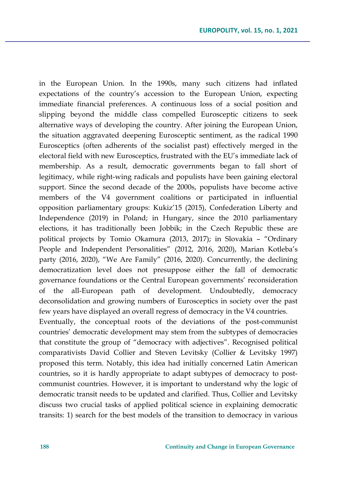in the European Union. In the 1990s, many such citizens had inflated expectations of the country's accession to the European Union, expecting immediate financial preferences. A continuous loss of a social position and slipping beyond the middle class compelled Eurosceptic citizens to seek alternative ways of developing the country. After joining the European Union, the situation aggravated deepening Eurosceptic sentiment, as the radical 1990 Eurosceptics (often adherents of the socialist past) effectively merged in the electoral field with new Eurosceptics, frustrated with the EU's immediate lack of membership. As a result, democratic governments began to fall short of legitimacy, while right-wing radicals and populists have been gaining electoral support. Since the second decade of the 2000s, populists have become active members of the V4 government coalitions or participated in influential opposition parliamentary groups: Kukiz'15 (2015), Confederation Liberty and Independence (2019) in Poland; in Hungary, since the 2010 parliamentary elections, it has traditionally been Jobbik; in the Czech Republic these are political projects by Tomio Okamura (2013, 2017); in Slovakia – "Ordinary People and Independent Personalities" (2012, 2016, 2020), Marian Kotleba's party (2016, 2020), "We Are Family" (2016, 2020). Concurrently, the declining democratization level does not presuppose either the fall of democratic governance foundations or the Central European governments' reconsideration of the all-European path of development. Undoubtedly, democracy deconsolidation and growing numbers of Eurosceptics in society over the past few years have displayed an overall regress of democracy in the V4 countries.

Eventually, the conceptual roots of the deviations of the post-communist countries' democratic development may stem from the subtypes of democracies that constitute the group of "democracy with adjectives". Recognised political comparativists David Collier and Steven Levitsky (Collier & Levitsky 1997) proposed this term. Notably, this idea had initially concerned Latin American countries, so it is hardly appropriate to adapt subtypes of democracy to postcommunist countries. However, it is important to understand why the logic of democratic transit needs to be updated and clarified. Thus, Collier and Levitsky discuss two crucial tasks of applied political science in explaining democratic transits: 1) search for the best models of the transition to democracy in various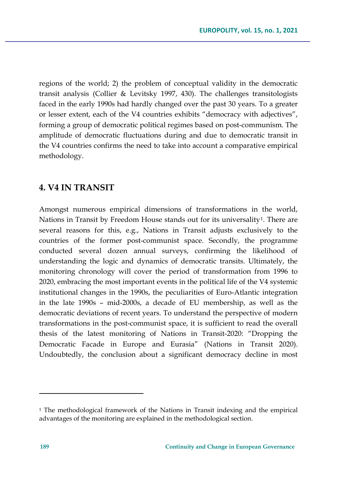regions of the world; 2) the problem of conceptual validity in the democratic transit analysis (Collier & Levitsky 1997, 430). The challenges transitologists faced in the early 1990s had hardly changed over the past 30 years. To a greater or lesser extent, each of the V4 countries exhibits "democracy with adjectives", forming a group of democratic political regimes based on post-communism. The amplitude of democratic fluctuations during and due to democratic transit in the V4 countries confirms the need to take into account a comparative empirical methodology.

## **4. V4 IN TRANSIT**

Amongst numerous empirical dimensions of transformations in the world, Nations in Transit by Freedom House stands out for its universality<sup>[1](#page-12-0)</sup>. There are several reasons for this, e.g., Nations in Transit adjusts exclusively to the countries of the former post-communist space. Secondly, the programme conducted several dozen annual surveys, confirming the likelihood of understanding the logic and dynamics of democratic transits. Ultimately, the monitoring chronology will cover the period of transformation from 1996 to 2020, embracing the most important events in the political life of the V4 systemic institutional changes in the 1990s, the peculiarities of Euro-Atlantic integration in the late 1990s – mid-2000s, a decade of EU membership, as well as the democratic deviations of recent years. To understand the perspective of modern transformations in the post-communist space, it is sufficient to read the overall thesis of the latest monitoring of Nations in Transit-2020: "Dropping the Democratic Facade in Europe and Eurasia" (Nations in Transit 2020). Undoubtedly, the conclusion about a significant democracy decline in most

<span id="page-12-0"></span><sup>1</sup> The methodological framework of the Nations in Transit indexing and the empirical advantages of the monitoring are explained in the methodological section.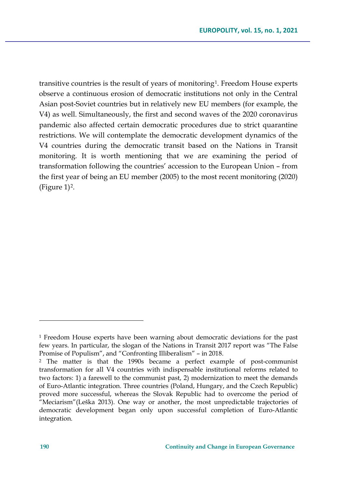transitive countries is the result of years of monitoring[1.](#page-13-0) Freedom House experts observe a continuous erosion of democratic institutions not only in the Central Asian post-Soviet countries but in relatively new EU members (for example, the V4) as well. Simultaneously, the first and second waves of the 2020 coronavirus pandemic also affected certain democratic procedures due to strict quarantine restrictions. We will contemplate the democratic development dynamics of the V4 countries during the democratic transit based on the Nations in Transit monitoring. It is worth mentioning that we are examining the period of transformation following the countries' accession to the European Union – from the first year of being an EU member (2005) to the most recent monitoring (2020)  $(Figure 1)<sup>2</sup>$ .

<span id="page-13-0"></span><sup>1</sup> Freedom House experts have been warning about democratic deviations for the past few years. In particular, the slogan of the Nations in Transit 2017 report was "The False Promise of Populism", and "Confronting Illiberalism" – in 2018.

<span id="page-13-1"></span><sup>2</sup> The matter is that the 1990s became a perfect example of post-communist transformation for all V4 countries with indispensable institutional reforms related to two factors: 1) a farewell to the communist past, 2) modernization to meet the demands of Euro-Atlantic integration. Three countries (Poland, Hungary, and the Czech Republic) proved more successful, whereas the Slovak Republic had to overcome the period of "Meciarism"(Leška 2013). One way or another, the most unpredictable trajectories of democratic development began only upon successful completion of Euro-Atlantic integration.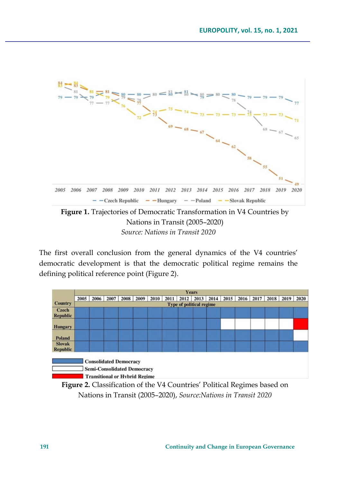

Nations in Transit (2005–2020)

*Source: Nations in Transit 2020*

The first overall conclusion from the general dynamics of the V4 countries' democratic development is that the democratic political regime remains the defining political reference point (Figure 2).

|                 | <b>Years</b>                    |                                                                                                             |      |      |      |      |      |      |      |  |  |                                                |  |  |  |  |
|-----------------|---------------------------------|-------------------------------------------------------------------------------------------------------------|------|------|------|------|------|------|------|--|--|------------------------------------------------|--|--|--|--|
|                 | 2005                            | 2006                                                                                                        | 2007 | 2008 | 2009 | 2010 | 2011 | 2012 | 2013 |  |  | 2014   2015   2016   2017   2018   2019   2020 |  |  |  |  |
| <b>Country</b>  | <b>Type of political regime</b> |                                                                                                             |      |      |      |      |      |      |      |  |  |                                                |  |  |  |  |
| Czech           |                                 |                                                                                                             |      |      |      |      |      |      |      |  |  |                                                |  |  |  |  |
| <b>Republic</b> |                                 |                                                                                                             |      |      |      |      |      |      |      |  |  |                                                |  |  |  |  |
| <b>Hungary</b>  |                                 |                                                                                                             |      |      |      |      |      |      |      |  |  |                                                |  |  |  |  |
| <b>Poland</b>   |                                 |                                                                                                             |      |      |      |      |      |      |      |  |  |                                                |  |  |  |  |
| <b>Slovak</b>   |                                 |                                                                                                             |      |      |      |      |      |      |      |  |  |                                                |  |  |  |  |
| <b>Republic</b> |                                 |                                                                                                             |      |      |      |      |      |      |      |  |  |                                                |  |  |  |  |
|                 |                                 | <b>Consolidated Democracy</b><br><b>Semi-Consolidated Democracy</b><br><b>Transitional or Hybrid Regime</b> |      |      |      |      |      |      |      |  |  |                                                |  |  |  |  |

**Figure 2.** Classification of the V4 Countries' Political Regimes based on Nations in Transit (2005–2020), *Source:Nations in Transit 2020*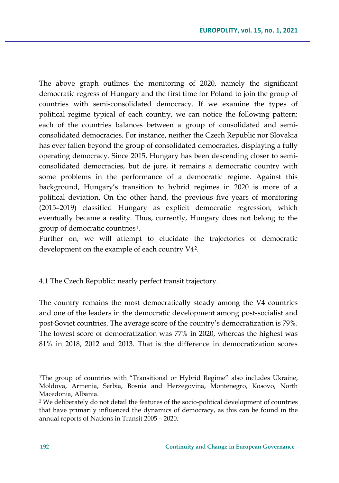The above graph outlines the monitoring of 2020, namely the significant democratic regress of Hungary and the first time for Poland to join the group of countries with semi-consolidated democracy. If we examine the types of political regime typical of each country, we can notice the following pattern: each of the countries balances between a group of consolidated and semiconsolidated democracies. For instance, neither the Czech Republic nor Slovakia has ever fallen beyond the group of consolidated democracies, displaying a fully operating democracy. Since 2015, Hungary has been descending closer to semiconsolidated democracies, but de jure, it remains a democratic country with some problems in the performance of a democratic regime. Against this background, Hungary's transition to hybrid regimes in 2020 is more of a political deviation. On the other hand, the previous five years of monitoring (2015–2019) classified Hungary as explicit democratic regression, which eventually became a reality. Thus, currently, Hungary does not belong to the group of democratic countries[1](#page-15-0).

Further on, we will attempt to elucidate the trajectories of democratic development on the example of each country V4[2.](#page-15-1)

### 4.1 The Czech Republic: nearly perfect transit trajectory.

The country remains the most democratically steady among the V4 countries and one of the leaders in the democratic development among post-socialist and post-Soviet countries. The average score of the country's democratization is 79%. The lowest score of democratization was 77% in 2020, whereas the highest was 81% in 2018, 2012 and 2013. That is the difference in democratization scores

<span id="page-15-0"></span><sup>1</sup>The group of countries with "Transitional or Hybrid Regime" also includes Ukraine, Moldova, Armenia, Serbia, Bosnia and Herzegovina, Montenegro, Kosovo, North Macedonia, Albania.

<span id="page-15-1"></span><sup>2</sup> We deliberately do not detail the features of the socio-political development of countries that have primarily influenced the dynamics of democracy, as this can be found in the annual reports of Nations in Transit 2005 – 2020.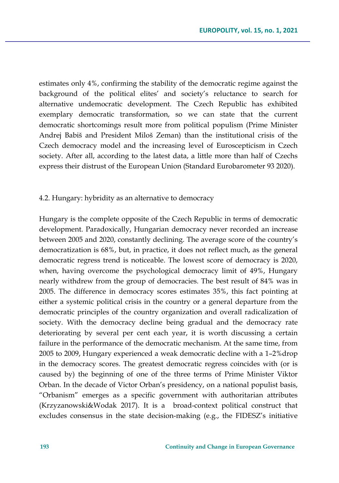estimates only 4%, confirming the stability of the democratic regime against the background of the political elites' and society's reluctance to search for alternative undemocratic development. The Czech Republic has exhibited exemplary democratic transformation, so we can state that the current democratic shortcomings result more from political populism (Prime Minister Andrej Babiš and President Miloš Zeman) than the institutional crisis of the Czech democracy model and the increasing level of Euroscepticism in Czech society. After all, according to the latest data, a little more than half of Czechs express their distrust of the European Union (Standard Eurobarometer 93 2020).

#### 4.2. Hungary: hybridity as an alternative to democracy

Hungary is the complete opposite of the Czech Republic in terms of democratic development. Paradoxically, Hungarian democracy never recorded an increase between 2005 and 2020, constantly declining. The average score of the country's democratization is 68%, but, in practice, it does not reflect much, as the general democratic regress trend is noticeable. The lowest score of democracy is 2020, when, having overcome the psychological democracy limit of 49%, Hungary nearly withdrew from the group of democracies. The best result of 84% was in 2005. The difference in democracy scores estimates 35%, this fact pointing at either a systemic political crisis in the country or a general departure from the democratic principles of the country organization and overall radicalization of society. With the democracy decline being gradual and the democracy rate deteriorating by several per cent each year, it is worth discussing a certain failure in the performance of the democratic mechanism. At the same time, from 2005 to 2009, Hungary experienced a weak democratic decline with a 1–2%drop in the democracy scores. The greatest democratic regress coincides with (or is caused by) the beginning of one of the three terms of Prime Minister Viktor Orban. In the decade of Victor Orban's presidency, on a national populist basis, "Orbanism" emerges as a specific government with authoritarian attributes (Krzyzanowski&Wodak 2017). It is a broad-context political construct that excludes consensus in the state decision-making (e.g., the FIDESZ's initiative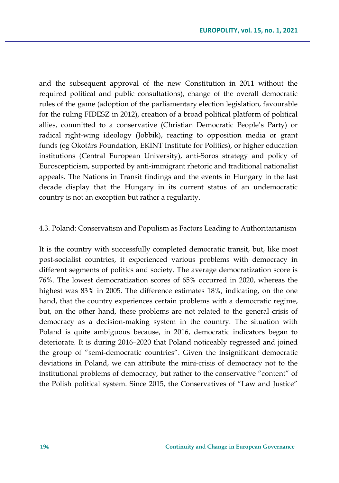and the subsequent approval of the new Constitution in 2011 without the required political and public consultations), change of the overall democratic rules of the game (adoption of the parliamentary election legislation, favourable for the ruling FIDESZ in 2012), creation of a broad political platform of political allies, committed to a conservative (Christian Democratic People's Party) or radical right-wing ideology (Jobbik), reacting to opposition media or grant funds (eg Ökotárs Foundation, EKINT Institute for Politics), or higher education institutions (Central European University), anti-Soros strategy and policy of Euroscepticism, supported by anti-immigrant rhetoric and traditional nationalist appeals. The Nations in Transit findings and the events in Hungary in the last decade display that the Hungary in its current status of an undemocratic country is not an exception but rather a regularity.

#### 4.3. Poland: Conservatism and Populism as Factors Leading to Authoritarianism

It is the country with successfully completed democratic transit, but, like most post-socialist countries, it experienced various problems with democracy in different segments of politics and society. The average democratization score is 76%. The lowest democratization scores of 65% occurred in 2020, whereas the highest was 83% in 2005. The difference estimates 18%, indicating, on the one hand, that the country experiences certain problems with a democratic regime, but, on the other hand, these problems are not related to the general crisis of democracy as a decision-making system in the country. The situation with Poland is quite ambiguous because, in 2016, democratic indicators began to deteriorate. It is during 2016–2020 that Poland noticeably regressed and joined the group of "semi-democratic countries". Given the insignificant democratic deviations in Poland, we can attribute the mini-crisis of democracy not to the institutional problems of democracy, but rather to the conservative "content" of the Polish political system. Since 2015, the Conservatives of "Law and Justice"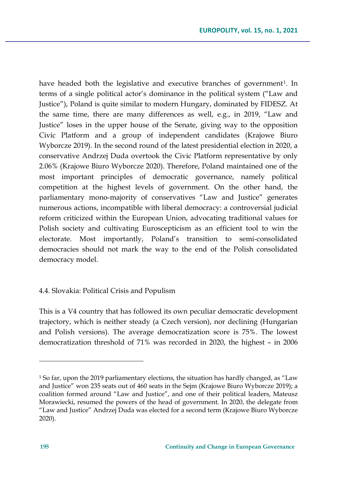have headed both the legislative and executive branches of government<sup>1</sup>. In terms of a single political actor's dominance in the political system ("Law and Justice"), Poland is quite similar to modern Hungary, dominated by FIDESZ. At the same time, there are many differences as well, e.g., in 2019, "Law and Justice" loses in the upper house of the Senate, giving way to the opposition Civic Platform and a group of independent candidates (Krajowe Biuro Wyborcze 2019). In the second round of the latest presidential election in 2020, a conservative Andrzej Duda overtook the Civic Platform representative by only 2.06% (Krajowe Biuro Wyborcze 2020). Therefore, Poland maintained one of the most important principles of democratic governance, namely political competition at the highest levels of government. On the other hand, the parliamentary mono-majority of conservatives "Law and Justice" generates numerous actions, incompatible with liberal democracy: a controversial judicial reform criticized within the European Union, advocating traditional values for Polish society and cultivating Euroscepticism as an efficient tool to win the electorate. Most importantly, Poland's transition to semi-consolidated democracies should not mark the way to the end of the Polish consolidated democracy model.

### 4.4. Slovakia: Political Crisis and Populism

This is a V4 country that has followed its own peculiar democratic development trajectory, which is neither steady (a Czech version), nor declining (Hungarian and Polish versions). The average democratization score is 75%. The lowest democratization threshold of 71% was recorded in 2020, the highest – in 2006

<span id="page-18-0"></span><sup>1</sup> So far, upon the 2019 parliamentary elections, the situation has hardly changed, as "Law and Justice" won 235 seats out of 460 seats in the Sejm (Krajowe Biuro Wyborcze 2019); a coalition formed around "Law and Justice", and one of their political leaders, Mateusz Morawiecki, resumed the powers of the head of government. In 2020, the delegate from "Law and Justice" Andrzej Duda was elected for a second term (Krajowe Biuro Wyborcze 2020).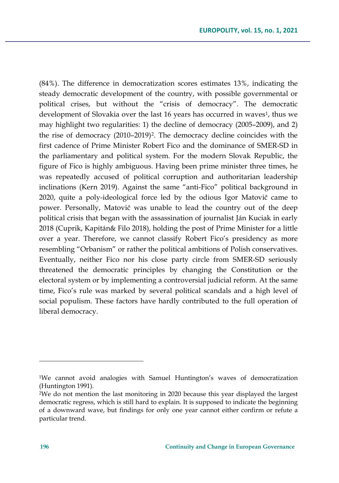(84%). The difference in democratization scores estimates 13%, indicating the steady democratic development of the country, with possible governmental or political crises, but without the "crisis of democracy". The democratic development of Slovakia over the last [1](#page-19-0)6 years has occurred in waves<sup>1</sup>, thus we may highlight two regularities: 1) the decline of democracy (2005–2009), and 2) the rise of democracy (2010–2019)[2](#page-19-1). The democracy decline coincides with the first cadence of Prime Minister Robert Fico and the dominance of SMER-SD in the parliamentary and political system. For the modern Slovak Republic, the figure of Fico is highly ambiguous. Having been prime minister three times, he was repeatedly accused of political corruption and authoritarian leadership inclinations (Kern 2019). Against the same "anti-Fico" political background in 2020, quite a poly-ideological force led by the odious Igor Matovič came to power. Personally, Matovič was unable to lead the country out of the deep political crisis that began with the assassination of journalist Ján Kuciak in early 2018 (Cuprik, Kapitán& Filo 2018), holding the post of Prime Minister for a little over a year. Therefore, we cannot classify Robert Fico's presidency as more resembling "Orbanism" or rather the political ambitions of Polish conservatives. Eventually, neither Fico nor his close party circle from SMER-SD seriously threatened the democratic principles by changing the Constitution or the electoral system or by implementing a controversial judicial reform. At the same time, Fico's rule was marked by several political scandals and a high level of social populism. These factors have hardly contributed to the full operation of liberal democracy.

<span id="page-19-0"></span><sup>1</sup>We cannot avoid analogies with Samuel Huntington's waves of democratization (Huntington 1991).

<span id="page-19-1"></span><sup>2</sup>We do not mention the last monitoring in 2020 because this year displayed the largest democratic regress, which is still hard to explain. It is supposed to indicate the beginning of a downward wave, but findings for only one year cannot either confirm or refute a particular trend.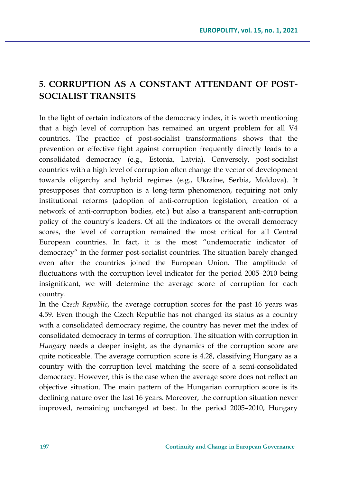# **5. CORRUPTION AS A CONSTANT ATTENDANT OF POST-SOCIALIST TRANSITS**

In the light of certain indicators of the democracy index, it is worth mentioning that a high level of corruption has remained an urgent problem for all V4 countries. The practice of post-socialist transformations shows that the prevention or effective fight against corruption frequently directly leads to a consolidated democracy (e.g., Estonia, Latvia). Conversely, post-socialist countries with a high level of corruption often change the vector of development towards oligarchy and hybrid regimes (e.g., Ukraine, Serbia, Moldova). It presupposes that corruption is a long-term phenomenon, requiring not only institutional reforms (adoption of anti-corruption legislation, creation of a network of anti-corruption bodies, etc.) but also a transparent anti-corruption policy of the country's leaders. Of all the indicators of the overall democracy scores, the level of corruption remained the most critical for all Central European countries. In fact, it is the most "undemocratic indicator of democracy" in the former post-socialist countries. The situation barely changed even after the countries joined the European Union. The amplitude of fluctuations with the corruption level indicator for the period 2005–2010 being insignificant, we will determine the average score of corruption for each country.

In the *Czech Republic*, the average corruption scores for the past 16 years was 4.59. Even though the Czech Republic has not changed its status as a country with a consolidated democracy regime, the country has never met the index of consolidated democracy in terms of corruption. The situation with corruption in *Hungary* needs a deeper insight, as the dynamics of the corruption score are quite noticeable. The average corruption score is 4.28, classifying Hungary as a country with the corruption level matching the score of a semi-consolidated democracy. However, this is the case when the average score does not reflect an objective situation. The main pattern of the Hungarian corruption score is its declining nature over the last 16 years. Moreover, the corruption situation never improved, remaining unchanged at best. In the period 2005–2010, Hungary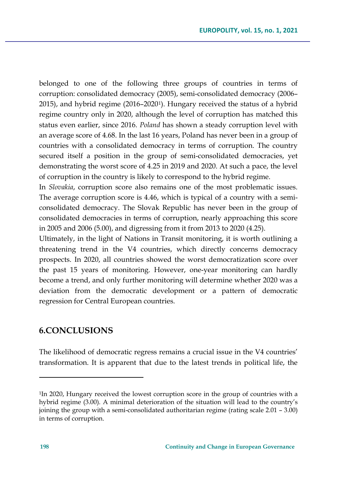belonged to one of the following three groups of countries in terms of corruption: consolidated democracy (2005), semi-consolidated democracy (2006– 2015), and hybrid regime (2016–2020[1](#page-21-0)). Hungary received the status of a hybrid regime country only in 2020, although the level of corruption has matched this status even earlier, since 2016. *Poland* has shown a steady corruption level with an average score of 4.68. In the last 16 years, Poland has never been in a group of countries with a consolidated democracy in terms of corruption. The country secured itself a position in the group of semi-consolidated democracies, yet demonstrating the worst score of 4.25 in 2019 and 2020. At such a pace, the level of corruption in the country is likely to correspond to the hybrid regime.

In *Slovakia*, corruption score also remains one of the most problematic issues. The average corruption score is 4.46, which is typical of a country with a semiconsolidated democracy. The Slovak Republic has never been in the group of consolidated democracies in terms of corruption, nearly approaching this score in 2005 and 2006 (5.00), and digressing from it from 2013 to 2020 (4.25).

Ultimately, in the light of Nations in Transit monitoring, it is worth outlining a threatening trend in the V4 countries, which directly concerns democracy prospects. In 2020, all countries showed the worst democratization score over the past 15 years of monitoring. However, one-year monitoring can hardly become a trend, and only further monitoring will determine whether 2020 was a deviation from the democratic development or a pattern of democratic regression for Central European countries.

## **6.CONCLUSIONS**

The likelihood of democratic regress remains a crucial issue in the V4 countries' transformation. It is apparent that due to the latest trends in political life, the

<span id="page-21-0"></span><sup>&</sup>lt;sup>1</sup>In 2020, Hungary received the lowest corruption score in the group of countries with a hybrid regime (3.00). A minimal deterioration of the situation will lead to the country's joining the group with a semi-consolidated authoritarian regime (rating scale 2.01 – 3.00) in terms of corruption.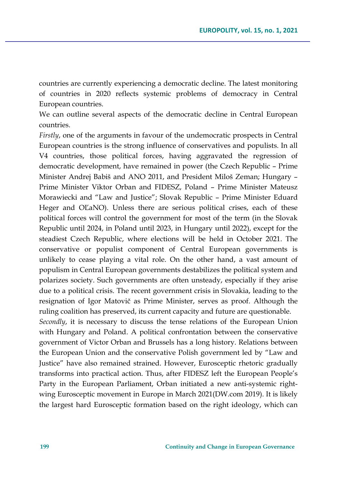countries are currently experiencing a democratic decline. The latest monitoring of countries in 2020 reflects systemic problems of democracy in Central European countries.

We can outline several aspects of the democratic decline in Central European countries.

*Firstly*, one of the arguments in favour of the undemocratic prospects in Central European countries is the strong influence of conservatives and populists. In all V4 countries, those political forces, having aggravated the regression of democratic development, have remained in power (the Czech Republic – Prime Minister Andrej Babiš and ANO 2011, and President Miloš Zeman; Hungary – Prime Minister Viktor Orban and FIDESZ, Poland – Prime Minister Mateusz Morawiecki and "Law and Justice"; Slovak Republic – Prime Minister Eduard Heger and OĽaNO). Unless there are serious political crises, each of these political forces will control the government for most of the term (in the Slovak Republic until 2024, in Poland until 2023, in Hungary until 2022), except for the steadiest Czech Republic, where elections will be held in October 2021. The conservative or populist component of Central European governments is unlikely to cease playing a vital role. On the other hand, a vast amount of populism in Central European governments destabilizes the political system and polarizes society. Such governments are often unsteady, especially if they arise due to a political crisis. The recent government crisis in Slovakia, leading to the resignation of Igor Matovič as Prime Minister, serves as proof. Although the ruling coalition has preserved, its current capacity and future are questionable.

*Secondly*, it is necessary to discuss the tense relations of the European Union with Hungary and Poland. A political confrontation between the conservative government of Victor Orban and Brussels has a long history. Relations between the European Union and the conservative Polish government led by "Law and Justice" have also remained strained. However, Eurosceptic rhetoric gradually transforms into practical action. Thus, after FIDESZ left the European People's Party in the European Parliament, Orban initiated a new anti-systemic rightwing Eurosceptic movement in Europe in March 2021(DW.com 2019). It is likely the largest hard Eurosceptic formation based on the right ideology, which can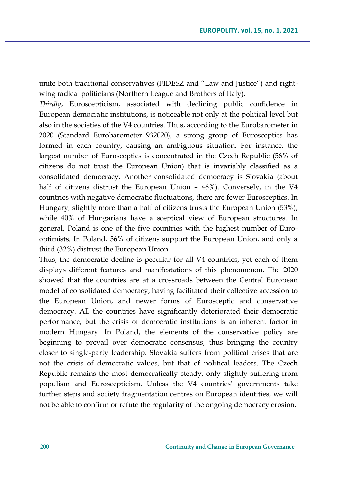unite both traditional conservatives (FIDESZ and "Law and Justice") and rightwing radical politicians (Northern League and Brothers of Italy).

*Thirdly*, Euroscepticism, associated with declining public confidence in European democratic institutions, is noticeable not only at the political level but also in the societies of the V4 countries. Thus, according to the Eurobarometer in 2020 (Standard Eurobarometer 932020), a strong group of Eurosceptics has formed in each country, causing an ambiguous situation. For instance, the largest number of Eurosceptics is concentrated in the Czech Republic (56% of citizens do not trust the European Union) that is invariably classified as a consolidated democracy. Another consolidated democracy is Slovakia (about half of citizens distrust the European Union – 46%). Conversely, in the V4 countries with negative democratic fluctuations, there are fewer Eurosceptics. In Hungary, slightly more than a half of citizens trusts the European Union (53%), while 40% of Hungarians have a sceptical view of European structures. In general, Poland is one of the five countries with the highest number of Eurooptimists. In Poland, 56% of citizens support the European Union, and only a third (32%) distrust the European Union.

Thus, the democratic decline is peculiar for all V4 countries, yet each of them displays different features and manifestations of this phenomenon. The 2020 showed that the countries are at a crossroads between the Central European model of consolidated democracy, having facilitated their collective accession to the European Union, and newer forms of Eurosceptic and conservative democracy. All the countries have significantly deteriorated their democratic performance, but the crisis of democratic institutions is an inherent factor in modern Hungary. In Poland, the elements of the conservative policy are beginning to prevail over democratic consensus, thus bringing the country closer to single-party leadership. Slovakia suffers from political crises that are not the crisis of democratic values, but that of political leaders. The Czech Republic remains the most democratically steady, only slightly suffering from populism and Euroscepticism. Unless the V4 countries' governments take further steps and society fragmentation centres on European identities, we will not be able to confirm or refute the regularity of the ongoing democracy erosion.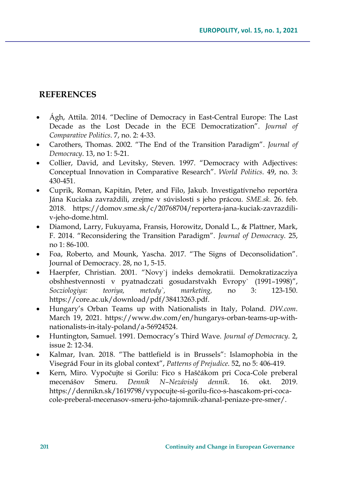## **REFERENCES**

- Ágh, Attila. 2014. "Decline of Democracy in East-Central Europe: The Last Decade as the Lost Decade in the ECE Democratization". *Journal of Comparative Politics*. 7, no. 2: 4-33.
- Carothers, Thomas. 2002. "The End of the Transition Paradigm". *Journal of Democracy*. 13, no 1: 5-21.
- Collier, David, and Levitsky, Steven. 1997. "Democracy with Adjectives: Conceptual Innovation in Comparative Research". *World Politics*. 49, no. 3: 430-451.
- Cuprik, Roman, Kapitán, Peter, and Filo, Jakub. Investigatívneho reportéra Jána Kuciaka zavraždili, zrejme v súvislosti s jeho prácou. *SME.sk*. 26. feb. 2018. https://domov.sme.sk/c/20768704/reportera-jana-kuciak-zavrazdiliv-jeho-dome.html.
- Diamond, Larry, Fukuyama, Fransis, Horowitz, Donald L., & Plattner, Mark, F. 2014. "Reconsidering the Transition Paradigm". *Journal of Democracy*. 25, no 1: 86-100.
- Foa, Roberto, and Mounk, Yascha. 2017. "The Signs of Deconsolidation". Journal of Democracy. 28, no 1, 5-15.
- Haerpfer, Christian. 2001. "Novy`j indeks demokratii. Demokratizacziya obshhestvennosti v pyatnadczati gosudarstvakh Evropy` (1991–1998)", *Socziologiya: teoriya, metody`, marketing,* no 3: 123-150. https://core.ac.uk/download/pdf/38413263.pdf.
- Hungary's Orban Teams up with Nationalists in Italy, Poland. *DW.com*. March 19, 2021. https://www.dw.com/en/hungarys-orban-teams-up-withnationalists-in-italy-poland/a-56924524.
- Huntington, Samuel. 1991. Democracy's Third Wave. *Journal of Democracy*. 2, issue 2: 12-34.
- Kalmar, Ivan. 2018. "The battlefield is in Brussels": Islamophobia in the Visegrád Four in its global context", *Patterns of Prejudice*. 52, no 5: 406-419.
- Kern, Miro. Vypočujte si Gorilu: Fico s Haščákom pri Coca-Cole preberal mecenášov Smeru. *Denník N–Nezávislý denník*. 16. okt. 2019. https://dennikn.sk/1619798/vypocujte-si-gorilu-fico-s-hascakom-pri-cocacole-preberal-mecenasov-smeru-jeho-tajomnik-zhanal-peniaze-pre-smer/.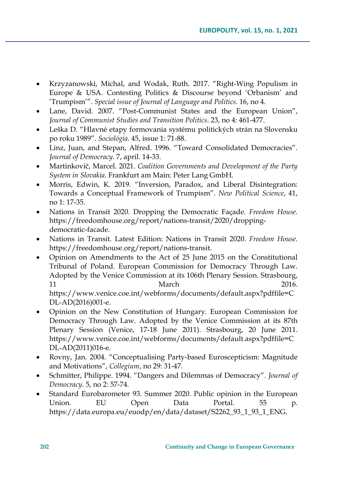- Krzyzanowski, Michal, and Wodak, Ruth. 2017. "Right-Wing Populism in Europe & USA. Contesting Politics & Discourse beyond 'Orbanism' and 'Trumpism'". *Special issue of Journal of Language and Politics*. 16, no 4.
- Lane, David. 2007. "Post-Communist States and the European Union", *Journal of Communist Studies and Transition Politics*. 23, no 4: 461-477.
- Leška D. "Hlavné etapy formovania systému politických strán na Slovensku po roku 1989". *Sociológia*. 45, issue 1: 71-88.
- Linz, Juan, and Stepan, Alfred. 1996. "Toward Consolidated Democracies". *Journal of Democracy*. 7, april. 14-33.
- Martinkovič, Marcel. 2021. *Coalition Governments and Development of the Party System in Slovakia*. Frankfurt am Main: Peter Lang GmbH.
- Morris, Edwin, K. 2019. "Inversion, Paradox, and Liberal Disintegration: Towards a Conceptual Framework of Trumpism". *New Political Science*, 41, no 1: 17-35.
- Nations in Transit 2020. Dropping the Democratic Façade. *Freedom House*. https://freedomhouse.org/report/nations-transit/2020/droppingdemocratic-facade.
- Nations in Transit. Latest Edition: Nations in Transit 2020. *Freedom House*. https://freedomhouse.org/report/nations-transit.
- Opinion on Amendments to the Act of 25 June 2015 on the Constitutional Tribunal of Poland. European Commission for Democracy Through Law. Adopted by the Venice Commission at its 106th Plenary Session. Strasbourg, 11 March 2016. https://www.venice.coe.int/webforms/documents/default.aspx?pdffile=C DL-AD(2016)001-e.
- Opinion on the New Constitution of Hungary. European Commission for Democracy Through Law. Adopted by the Venice Commission at its 87th Plenary Session (Venice, 17-18 June 2011). Strasbourg, 20 June 2011. https://www.venice.coe.int/webforms/documents/default.aspx?pdffile=C DL-AD(2011)016-e.
- Rovny, Jan. 2004. "Conceptualising Party-based Euroscepticism: Magnitude and Motivations", *Collegium*, no 29: 31-47.
- Schmitter, Philippe. 1994. "Dangers and Dilemmas of Democracy". *Journal of Democracy*. 5, no 2: 57-74.
- Standard Eurobarometer 93. Summer 2020. Public opinion in the European Union. EU Open Data Portal. 55 p. https://data.europa.eu/euodp/en/data/dataset/S2262\_93\_1\_93\_1\_ENG.